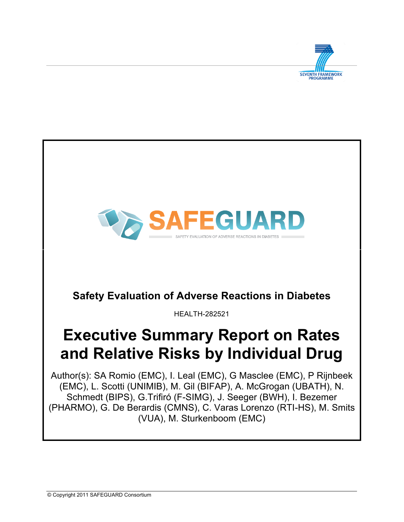

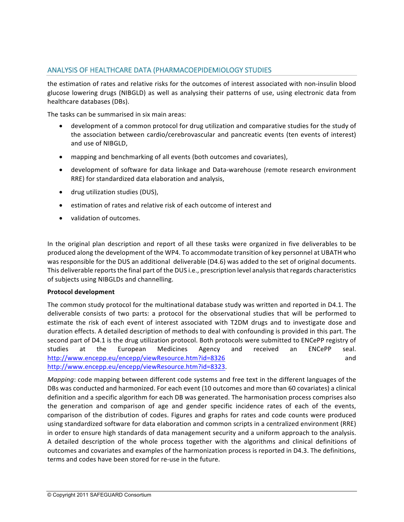# ANALYSIS OF HEALTHCARE DATA (PHARMACOEPIDEMIOLOGY STUDIES

the estimation of rates and relative risks for the outcomes of interest associated with non-insulin blood glucose lowering drugs (NIBGLD) as well as analysing their patterns of use, using electronic data from healthcare databases (DBs).

The tasks can be summarised in six main areas:

- development of a common protocol for drug utilization and comparative studies for the study of the association between cardio/cerebrovascular and pancreatic events (ten events of interest) and use of NIBGLD.
- mapping and benchmarking of all events (both outcomes and covariates),
- development of software for data linkage and Data-warehouse (remote research environment RRE) for standardized data elaboration and analysis,
- drug utilization studies (DUS),
- estimation of rates and relative risk of each outcome of interest and
- validation of outcomes.

In the original plan description and report of all these tasks were organized in five deliverables to be produced along the development of the WP4. To accommodate transition of key personnel at UBATH who was responsible for the DUS an additional deliverable (D4.6) was added to the set of original documents. This deliverable reports the final part of the DUS i.e., prescription level analysis that regards characteristics of subjects using NIBGLDs and channelling.

## **Protocol development**

The common study protocol for the multinational database study was written and reported in D4.1. The deliverable consists of two parts: a protocol for the observational studies that will be performed to estimate the risk of each event of interest associated with T2DM drugs and to investigate dose and duration effects. A detailed description of methods to deal with confounding is provided in this part. The second part of D4.1 is the drug utilization protocol. Both protocols were submitted to ENCePP registry of studies at the European Medicines Agency and received an ENCePP seal. http://www.encepp.eu/encepp/viewResource.htm?id=8326 and http://www.encepp.eu/encepp/viewResource.htm?id=8323. 

*Mapping*: code mapping between different code systems and free text in the different languages of the DBs was conducted and harmonized. For each event (10 outcomes and more than 60 covariates) a clinical definition and a specific algorithm for each DB was generated. The harmonisation process comprises also the generation and comparison of age and gender specific incidence rates of each of the events, comparison of the distribution of codes. Figures and graphs for rates and code counts were produced using standardized software for data elaboration and common scripts in a centralized environment (RRE) in order to ensure high standards of data management security and a uniform approach to the analysis. A detailed description of the whole process together with the algorithms and clinical definitions of outcomes and covariates and examples of the harmonization process is reported in D4.3. The definitions, terms and codes have been stored for re-use in the future.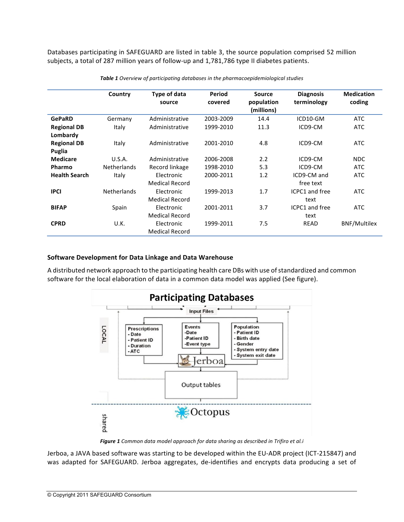Databases participating in SAFEGUARD are listed in table 3, the source population comprised 52 million subjects, a total of 287 million years of follow-up and 1,781,786 type II diabetes patients.

|                                | Country            | Type of data<br>source              | Period<br>covered | <b>Source</b><br>population<br>(millions) | <b>Diagnosis</b><br>terminology | <b>Medication</b><br>coding |
|--------------------------------|--------------------|-------------------------------------|-------------------|-------------------------------------------|---------------------------------|-----------------------------|
| <b>GePaRD</b>                  | Germany            | Administrative                      | 2003-2009         | 14.4                                      | ICD10-GM                        | ATC                         |
| <b>Regional DB</b><br>Lombardy | Italy              | Administrative                      | 1999-2010         | 11.3                                      | ICD9-CM                         | ATC                         |
| <b>Regional DB</b><br>Puglia   | Italy              | Administrative                      | 2001-2010         | 4.8                                       | ICD9-CM                         | ATC                         |
| Medicare                       | U.S.A.             | Administrative                      | 2006-2008         | 2.2                                       | ICD9-CM                         | <b>NDC</b>                  |
| Pharmo                         | <b>Netherlands</b> | Record linkage                      | 1998-2010         | 5.3                                       | ICD9-CM                         | ATC                         |
| <b>Health Search</b>           | Italy              | Electronic<br><b>Medical Record</b> | 2000-2011         | 1.2                                       | ICD9-CM and<br>free text        | ATC                         |
| <b>IPCI</b>                    | <b>Netherlands</b> | Electronic<br><b>Medical Record</b> | 1999-2013         | 1.7                                       | ICPC1 and free<br>text          | ATC                         |
| <b>BIFAP</b>                   | Spain              | Electronic<br>Medical Record        | 2001-2011         | 3.7                                       | ICPC1 and free<br>text          | ATC                         |
| <b>CPRD</b>                    | U.K.               | Electronic<br><b>Medical Record</b> | 1999-2011         | 7.5                                       | <b>READ</b>                     | <b>BNF/Multilex</b>         |

**Table 1** Overview of participating databases in the pharmacoepidemiological studies

#### **Software Development for Data Linkage and Data Warehouse**

A distributed network approach to the participating health care DBs with use of standardized and common software for the local elaboration of data in a common data model was applied (See figure).



**Figure 1** Common data model approach for data sharing as described in Trifiro et al.i

Jerboa, a JAVA based software was starting to be developed within the EU-ADR project (ICT-215847) and was adapted for SAFEGUARD. Jerboa aggregates, de-identifies and encrypts data producing a set of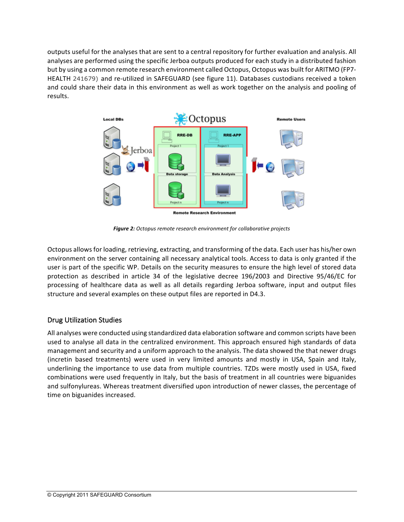outputs useful for the analyses that are sent to a central repository for further evaluation and analysis. All analyses are performed using the specific Jerboa outputs produced for each study in a distributed fashion but by using a common remote research environment called Octopus, Octopus was built for ARITMO (FP7-HEALTH 241679) and re-utilized in SAFEGUARD (see figure 11). Databases custodians received a token and could share their data in this environment as well as work together on the analysis and pooling of results.



**Figure 2:** Octopus remote research environment for collaborative projects

Octopus allows for loading, retrieving, extracting, and transforming of the data. Each user has his/her own environment on the server containing all necessary analytical tools. Access to data is only granted if the user is part of the specific WP. Details on the security measures to ensure the high level of stored data protection as described in article 34 of the legislative decree 196/2003 and Directive 95/46/EC for processing of healthcare data as well as all details regarding Jerboa software, input and output files structure and several examples on these output files are reported in D4.3.

# Drug Utilization Studies

All analyses were conducted using standardized data elaboration software and common scripts have been used to analyse all data in the centralized environment. This approach ensured high standards of data management and security and a uniform approach to the analysis. The data showed the that newer drugs (incretin based treatments) were used in very limited amounts and mostly in USA, Spain and Italy, underlining the importance to use data from multiple countries. TZDs were mostly used in USA, fixed combinations were used frequently in Italy, but the basis of treatment in all countries were biguanides and sulfonylureas. Whereas treatment diversified upon introduction of newer classes, the percentage of time on biguanides increased.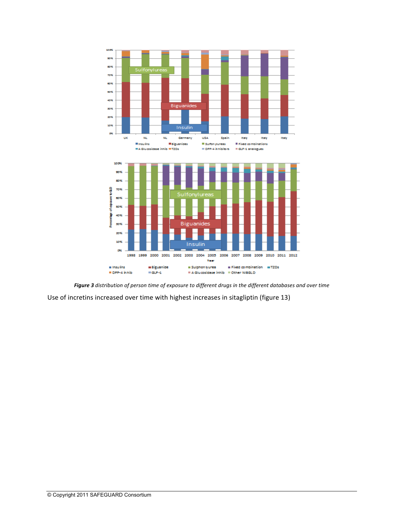

Figure 3 distribution of person time of exposure to different drugs in the different databases and over time

Use of incretins increased over time with highest increases in sitagliptin (figure 13)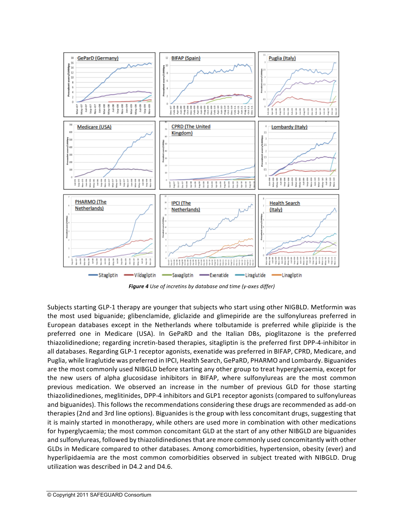

**Figure 4** Use of incretins by database and time (y-axes differ)

Subjects starting GLP-1 therapy are younger that subjects who start using other NIGBLD. Metformin was the most used biguanide; glibenclamide, gliclazide and glimepiride are the sulfonylureas preferred in European databases except in the Netherlands where tolbutamide is preferred while glipizide is the preferred one in Medicare (USA). In GePaRD and the Italian DBs, pioglitazone is the preferred thiazolidinedione; regarding incretin-based therapies, sitagliptin is the preferred first DPP-4-inhibitor in all databases. Regarding GLP-1 receptor agonists, exenatide was preferred in BIFAP, CPRD, Medicare, and Puglia, while liraglutide was preferred in IPCI, Health Search, GePaRD, PHARMO and Lombardy. Biguanides are the most commonly used NIBGLD before starting any other group to treat hyperglycaemia, except for the new users of alpha glucosidase inhibitors in BIFAP, where sulfonylureas are the most common previous medication. We observed an increase in the number of previous GLD for those starting thiazolidinediones, meglitinides, DPP-4 inhibitors and GLP1 receptor agonists (compared to sulfonylureas and biguanides). This follows the recommendations considering these drugs are recommended as add-on therapies (2nd and 3rd line options). Biguanides is the group with less concomitant drugs, suggesting that it is mainly started in monotherapy, while others are used more in combination with other medications for hyperglycaemia; the most common concomitant GLD at the start of any other NIBGLD are biguanides and sulfonylureas, followed by thiazolidinediones that are more commonly used concomitantly with other GLDs in Medicare compared to other databases. Among comorbidities, hypertension, obesity (ever) and hyperlipidaemia are the most common comorbidities observed in subject treated with NIBGLD. Drug utilization was described in D4.2 and D4.6.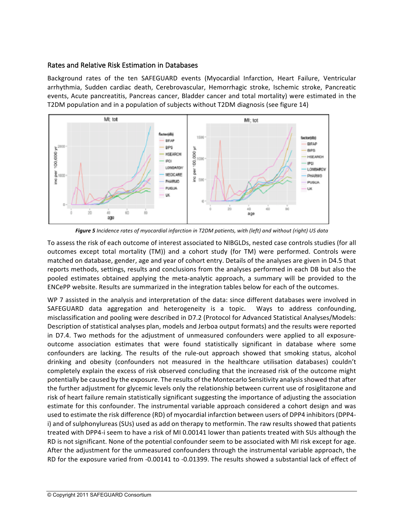#### Rates and Relative Risk Estimation in Databases

Background rates of the ten SAFEGUARD events (Myocardial Infarction, Heart Failure, Ventricular arrhythmia, Sudden cardiac death, Cerebrovascular, Hemorrhagic stroke, Ischemic stroke, Pancreatic events, Acute pancreatitis, Pancreas cancer, Bladder cancer and total mortality) were estimated in the T2DM population and in a population of subjects without T2DM diagnosis (see figure 14)



Figure 5 *Incidence rates of myocardial infarction* in T2DM patients, with (left) and without (right) US data

To assess the risk of each outcome of interest associated to NIBGLDs, nested case controls studies (for all outcomes except total mortality (TM)) and a cohort study (for TM) were performed. Controls were matched on database, gender, age and year of cohort entry. Details of the analyses are given in D4.5 that reports methods, settings, results and conclusions from the analyses performed in each DB but also the pooled estimates obtained applying the meta-analytic approach, a summary will be provided to the ENCePP website. Results are summarized in the integration tables below for each of the outcomes.

WP 7 assisted in the analysis and interpretation of the data: since different databases were involved in SAFEGUARD data aggregation and heterogeneity is a topic. Ways to address confounding, misclassification and pooling were described in D7.2 (Protocol for Advanced Statistical Analyses/Models: Description of statistical analyses plan, models and Jerboa output formats) and the results were reported in D7.4. Two methods for the adjustment of unmeasured confounders were applied to all exposureoutcome association estimates that were found statistically significant in database where some confounders are lacking. The results of the rule-out approach showed that smoking status, alcohol drinking and obesity (confounders not measured in the healthcare utilisation databases) couldn't completely explain the excess of risk observed concluding that the increased risk of the outcome might potentially be caused by the exposure. The results of the Montecarlo Sensitivity analysis showed that after the further adjustment for glycemic levels only the relationship between current use of rosiglitazone and risk of heart failure remain statistically significant suggesting the importance of adjusting the association estimate for this confounder. The instrumental variable approach considered a cohort design and was used to estimate the risk difference (RD) of myocardial infarction between users of DPP4 inhibitors (DPP4i) and of sulphonylureas (SUs) used as add on therapy to metformin. The raw results showed that patients treated with DPP4-i seem to have a risk of MI 0.00141 lower than patients treated with SUs although the RD is not significant. None of the potential confounder seem to be associated with MI risk except for age. After the adjustment for the unmeasured confounders through the instrumental variable approach, the RD for the exposure varied from -0.00141 to -0.01399. The results showed a substantial lack of effect of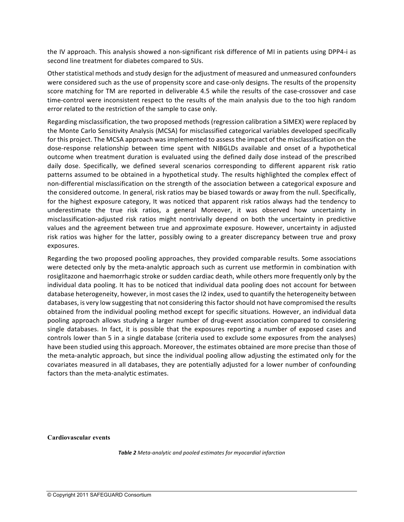the IV approach. This analysis showed a non-significant risk difference of MI in patients using DPP4-i as second line treatment for diabetes compared to SUs.

Other statistical methods and study design for the adjustment of measured and unmeasured confounders were considered such as the use of propensity score and case-only designs. The results of the propensity score matching for TM are reported in deliverable 4.5 while the results of the case-crossover and case time-control were inconsistent respect to the results of the main analysis due to the too high random error related to the restriction of the sample to case only.

Regarding misclassification, the two proposed methods (regression calibration a SIMEX) were replaced by the Monte Carlo Sensitivity Analysis (MCSA) for misclassified categorical variables developed specifically for this project. The MCSA approach was implemented to assess the impact of the misclassification on the dose-response relationship between time spent with NIBGLDs available and onset of a hypothetical outcome when treatment duration is evaluated using the defined daily dose instead of the prescribed daily dose. Specifically, we defined several scenarios corresponding to different apparent risk ratio patterns assumed to be obtained in a hypothetical study. The results highlighted the complex effect of non-differential misclassification on the strength of the association between a categorical exposure and the considered outcome. In general, risk ratios may be biased towards or away from the null. Specifically, for the highest exposure category, It was noticed that apparent risk ratios always had the tendency to underestimate the true risk ratios, a general Moreover, it was observed how uncertainty in misclassification-adjusted risk ratios might nontrivially depend on both the uncertainty in predictive values and the agreement between true and approximate exposure. However, uncertainty in adjusted risk ratios was higher for the latter, possibly owing to a greater discrepancy between true and proxy exposures. 

Regarding the two proposed pooling approaches, they provided comparable results. Some associations were detected only by the meta-analytic approach such as current use metformin in combination with rosiglitazone and haemorrhagic stroke or sudden cardiac death, while others more frequently only by the individual data pooling. It has to be noticed that individual data pooling does not account for between database heterogeneity, however, in most cases the I2 index, used to quantify the heterogeneity between databases, is very low suggesting that not considering this factor should not have compromised the results obtained from the individual pooling method except for specific situations. However, an individual data pooling approach allows studying a larger number of drug-event association compared to considering single databases. In fact, it is possible that the exposures reporting a number of exposed cases and controls lower than 5 in a single database (criteria used to exclude some exposures from the analyses) have been studied using this approach. Moreover, the estimates obtained are more precise than those of the meta-analytic approach, but since the individual pooling allow adjusting the estimated only for the covariates measured in all databases, they are potentially adjusted for a lower number of confounding factors than the meta-analytic estimates.

**Cardiovascular events**

**Table 2** Meta-analytic and pooled estimates for myocardial infarction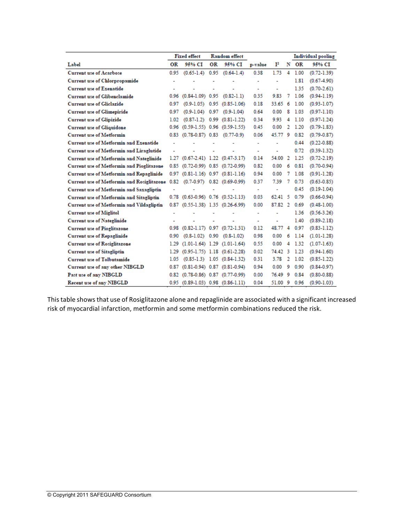|                                                  |      | <b>Fixed effect</b>                           |      | <b>Random</b> effect             |         |                |                |      | Individual pooling |  |
|--------------------------------------------------|------|-----------------------------------------------|------|----------------------------------|---------|----------------|----------------|------|--------------------|--|
| Label                                            | OR   | 95% CI                                        | ОR   | 95% CI                           | p-value | $\mathbf{I}^2$ | N              | ОR   | 95% CI             |  |
| <b>Current use of Acarbose</b>                   | 0.95 | $(0.65 - 1.4)$                                | 0.95 | $(0.64-1.4)$                     | 0.38    | 1.73           | 4              | 1.00 | $(0.72 - 1.39)$    |  |
| <b>Current use of Chlorpropamide</b>             | ۰    |                                               |      |                                  | ٠       | ٠              |                | 1.81 | $(0.67 - 4.90)$    |  |
| <b>Current use of Exenatide</b>                  | ٠    |                                               | ٠    | ٠                                | $\sim$  | ٠              |                | 1.35 | $(0.70 - 2.61)$    |  |
| <b>Current use of Glibenclamide</b>              | 0.96 | $(0.84-1.09)$ 0.95                            |      | $(0.82-1.1)$                     | 0.35    | 9.83           | 7              | 1.06 | $(0.94 - 1.19)$    |  |
| <b>Current use of Gliclazide</b>                 | 0.97 | $(0.9 - 1.05)$ 0.95                           |      | $(0.85 - 1.06)$                  | 0.18    | 33.65          | 6              | 1.00 | $(0.93 - 1.07)$    |  |
| <b>Current use of Glimepiride</b>                | 0.97 | $(0.9-1.04)$ 0.97                             |      | $(0.9 - 1.04)$                   | 0.64    | 0.00           | 8              | 1.03 | $(0.97-1.10)$      |  |
| <b>Current use of Glipizide</b>                  | 1.02 |                                               |      | $(0.87-1.2)$ 0.99 $(0.81-1.22)$  | 0.34    | 9.93           | 4              | 1.10 | $(0.97-1.24)$      |  |
| <b>Current use of Gliquidone</b>                 |      | 0.96 (0.59-1.55) 0.96 (0.59-1.55)             |      |                                  | 0.45    | 0.00           | 2              | 1.20 | $(0.79 - 1.83)$    |  |
| <b>Current use of Metformin</b>                  |      | 0.83 (0.78-0.87) 0.83 (0.77-0.9)              |      |                                  | 0.06    | 45.77          | - 9            | 0.82 | $(0.79 - 0.87)$    |  |
| <b>Current use of Metformin and Exenatide</b>    | ٠    |                                               |      |                                  | $\sim$  | ٠              |                | 0.44 | $(0.22 - 0.88)$    |  |
| <b>Current use of Metformin and Liraglutide</b>  |      |                                               |      |                                  | $\sim$  |                |                | 0.72 | $(0.39 - 1.32)$    |  |
| <b>Current use of Metformin and Nateglinide</b>  |      | 1.27 (0.67-2.41) 1.22 (0.47-3.17)             |      |                                  | 0.14    | 54.00          | 2              | 1.25 | $(0.72 - 2.19)$    |  |
| <b>Current use of Metformin and Pioglitazone</b> |      | 0.85 (0.72-0.99) 0.85 (0.72-0.99)             |      |                                  | 0.82    | 0.00           | 6              | 0.81 | $(0.70 - 0.94)$    |  |
| Current use of Metformin and Repaglinide         |      | $0.97$ $(0.81-1.16)$ $0.97$ $(0.81-1.16)$     |      |                                  | 0.94    | 0.00           | 7              | 1.08 | $(0.91 - 1.28)$    |  |
| Current use of Metformin and Rosiglitazone       | 0.82 |                                               |      | $(0.7-0.97)$ 0.82 $(0.69-0.99)$  | 0.37    | 7.39           | 7              | 0.73 | $(0.63 - 0.85)$    |  |
| Current use of Metformin and Saxagliptin         |      |                                               |      | ۰                                | ÷       | ٠              |                | 0.45 | $(0.19 - 1.04)$    |  |
| <b>Current use of Metformin and Sitagliptin</b>  |      | $0.78$ $(0.63 - 0.96)$ $0.76$ $(0.52 - 1.13)$ |      |                                  | 0.03    | $62.41\quad 5$ |                | 0.79 | $(0.66 - 0.94)$    |  |
| Current use of Metformin and Vildagliptin        |      | 0.87 (0.55-1.38) 1.35 (0.26-6.99)             |      |                                  | 0.00    | 87.82 2        |                | 0.69 | $(0.48 - 1.00)$    |  |
| <b>Current use of Miglitol</b>                   | ٠    |                                               |      | ٠                                | ÷       | ٠              |                | 1.36 | $(0.56 - 3.26)$    |  |
| <b>Current use of Nateglinide</b>                |      |                                               |      | ÷                                | ÷       |                |                | 1.40 | $(0.89 - 2.18)$    |  |
| <b>Current use of Pioglitazone</b>               |      | $0.98$ $(0.82-1.17)$ $0.97$ $(0.72-1.31)$     |      |                                  | 0.12    | 48.77 4        |                | 0.97 | $(0.83 - 1.12)$    |  |
| <b>Current use of Repaglinide</b>                | 0.90 |                                               |      | $(0.8-1.02)$ 0.90 $(0.8-1.02)$   | 0.98    | 0.00           | 6              | 1.14 | $(1.01 - 1.28)$    |  |
| <b>Current use of Rosiglitazone</b>              | 1.29 |                                               |      | $(1.01-1.64)$ 1.29 $(1.01-1.64)$ | 0.55    | 0.00           | 4              | 1.32 | $(1.07-1.63)$      |  |
| <b>Current use of Sitagliptin</b>                | 1.29 |                                               |      | $(0.95-1.75)$ 1.18 $(0.61-2.28)$ | 0.02    | 74.42 3        |                | 1.23 | $(0.94 - 1.60)$    |  |
| <b>Current use of Tolbutamide</b>                | 1.05 |                                               |      | $(0.85-1.3)$ 1.05 $(0.84-1.32)$  | 0.31    | 3.78           | $\overline{2}$ | 1.02 | $(0.85 - 1.22)$    |  |
| Current use of any other NIBGLD                  | 0.87 |                                               |      | $(0.81-0.94)$ 0.87 $(0.81-0.94)$ | 0.94    | 0.00           | 9              | 0.90 | $(0.84 - 0.97)$    |  |
| Past use of any NIBGLD                           |      | 0.82 (0.78-0.86) 0.87 (0.77-0.99)             |      |                                  | 0.00    | 76.49 9        |                | 0.84 | $(0.80 - 0.88)$    |  |
| <b>Recent use of any NIBGLD</b>                  |      | 0.95 (0.89-1.03) 0.98 (0.86-1.11)             |      |                                  | 0.04    | 51.00 9        |                | 0.96 | $(0.90 - 1.03)$    |  |

This table shows that use of Rosiglitazone alone and repaglinide are associated with a significant increased risk of myocardial infarction, metformin and some metformin combinations reduced the risk.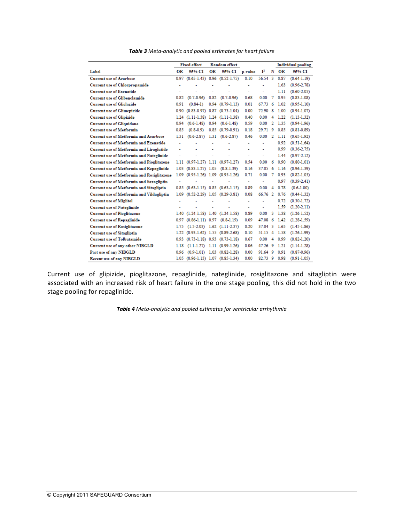|  |  |  |  |  |  | Table 3 Meta-analytic and pooled estimates for heart failure |  |  |  |  |
|--|--|--|--|--|--|--------------------------------------------------------------|--|--|--|--|
|--|--|--|--|--|--|--------------------------------------------------------------|--|--|--|--|

|                                                   |                      | <b>Fixed effect</b>               | <b>Random</b> effect |                                      |         |                |              | Individual pooling |                 |
|---------------------------------------------------|----------------------|-----------------------------------|----------------------|--------------------------------------|---------|----------------|--------------|--------------------|-----------------|
| Label                                             | OR                   | 95% CI                            | OR                   | 95% CI                               | p-value | $\mathbf{I}^2$ | N            | ОR                 | 95% CI          |
| <b>Current use of Acarbose</b>                    | 0.97                 |                                   |                      | $(0.65 - 1.43)$ 0.96 $(0.52 - 1.75)$ | 0.10    | 56.54 3        |              | 0.87               | $(0.64-1.19)$   |
| <b>Current use of Chlorpropamide</b>              | ٠                    |                                   |                      |                                      | ۰       | ٠              |              | 1.63               | $(0.96 - 2.78)$ |
| <b>Current use of Exenatide</b>                   | ۰                    |                                   |                      |                                      | ٠       | ٠              |              | 1.11               | $(0.60 - 2.05)$ |
| <b>Current use of Glibenclamide</b>               | 0.82                 | $(0.7 - 0.96)$                    | 0.82                 | $(0.7-0.96)$                         | 0.68    | 0.00           | 7            | 0.95               | $(0.83 - 1.08)$ |
| <b>Current use of Gliclazide</b>                  | 0.91                 | $(0.84-1)$                        |                      | $0.94$ $(0.79-1.13)$                 | 0.01    | 67.73          | 6            | 1.02               | $(0.95 - 1.10)$ |
| <b>Current use of Glimepiride</b>                 | 0.90                 |                                   |                      | $(0.83 - 0.97)$ 0.87 $(0.73 - 1.04)$ | 0.00    | 72.90          | 8            | 1.00               | $(0.94 - 1.07)$ |
| <b>Current use of Glipizide</b>                   |                      | 1.24 (1.11-1.38) 1.24 (1.11-1.38) |                      |                                      | 0.40    | 0.00           | 4            | 1.22               | $(1.13-1.32)$   |
| <b>Current use of Gliquidone</b>                  | 0.94                 |                                   |                      | $(0.6-1.48)$ $0.94$ $(0.6-1.48)$     | 0.59    | 0.00           | $\mathbf{2}$ | 1.35               | $(0.94-1.96)$   |
| <b>Current use of Metformin</b>                   | 0.85                 | $(0.8-0.9)$                       |                      | $0.85$ $(0.79-0.91)$                 | 0.18    | 29.71          | 9            | 0.85               | $(0.81 - 0.89)$ |
| <b>Current use of Metformin and Acarbose</b>      | 1.31                 |                                   |                      | $(0.6-2.87)$ 1.31 $(0.6-2.87)$       | 0.46    | 0.00           | $\mathbf{2}$ | 1.11               | $(0.65 - 1.92)$ |
| <b>Current use of Metformin and Exenatide</b>     | ۰                    |                                   | ٠                    |                                      | ۰       | ٠              |              | 0.92               | $(0.51-1.64)$   |
| <b>Current use of Metformin and Liraglutide</b>   |                      |                                   |                      |                                      |         |                |              | 0.99               | $(0.36 - 2.75)$ |
| <b>Current use of Metformin and Nateglinide</b>   |                      |                                   |                      |                                      | ٠       | ä,             |              | 1.44               | $(0.97 - 2.12)$ |
| <b>Current use of Metformin and Pioglitazone</b>  | 1.11                 |                                   |                      | $(0.97-1.27)$ 1.11 $(0.97-1.27)$     | 0.54    | 0.00           | 6            | 0.90               | $(0.80 - 1.01)$ |
| Current use of Metformin and Repaglinide          | 1.03                 | $(0.83-1.27)$ 1.05 $(0.8-1.39)$   |                      |                                      | 0.16    | 37.05          | -6           | 1.16               | $(0.96 - 1.39)$ |
| <b>Current use of Metformin and Rosiglitazone</b> |                      | 1.09 (0.95-1.26) 1.09 (0.95-1.26) |                      |                                      | 0.71    | 0.00           | 7            | 0.93               | $(0.82 - 1.05)$ |
| Current use of Metformin and Saxagliptin          | $\ddot{\phantom{0}}$ |                                   |                      |                                      | ÷       | ä,             |              | 0.97               | $(0.39 - 2.41)$ |
| Current use of Metformin and Sitagliptin          | 0.85                 |                                   |                      | $(0.63 - 1.15)$ 0.85 $(0.63 - 1.15)$ | 0.89    | 0.00           | 4            | 0.78               | $(0.6-1.00)$    |
| Current use of Metformin and Vildagliptin         | 1.09                 |                                   |                      | $(0.52 - 2.29)$ 1.05 $(0.29 - 3.81)$ | 0.08    | 66.76 2        |              | 0.76               | $(0.44 - 1.32)$ |
| <b>Current use of Miglitol</b>                    | $\overline{a}$       |                                   |                      |                                      | ÷.      | ä,             |              | 0.72               | $(0.30 - 1.72)$ |
| <b>Current use of Nateglinide</b>                 | $\overline{a}$       |                                   |                      | ٠                                    | ٠       | ä,             |              | 1.59               | $(1.20-2.11)$   |
| <b>Current use of Pioglitazone</b>                |                      | 1.40 (1.24-1.58) 1.40 (1.24-1.58) |                      |                                      | 0.89    | 0.00           | 3            | 1.38               | $(1.26 - 1.52)$ |
| <b>Current use of Repaglinide</b>                 | 0.97                 | $(0.86-1.11)$ 0.97 $(0.8-1.19)$   |                      |                                      | 0.09    | 47.08          | - 6          | 1.42               | $(1.28 - 1.59)$ |
| <b>Current use of Rosiglitazone</b>               | 1.75                 |                                   |                      | $(1.5-2.03)$ 1.62 $(1.11-2.37)$      | 0.20    | 37.04 3        |              | 1.65               | $(1.45-1.86)$   |
| <b>Current use of Sitagliptin</b>                 |                      | 1.22 (0.93-1.62) 1.55 (0.89-2.68) |                      |                                      | 0.10    | 51.15          | -4           | 1.58               | $(1.26-1.99)$   |
| <b>Current use of Tolbutamide</b>                 | 0.93                 |                                   |                      | $(0.73 - 1.18)$ 0.93 $(0.73 - 1.18)$ | 0.67    | 0.00           | 4            | 0.99               | $(0.82 - 1.20)$ |
| Current use of any other NIBGLD                   | 1.18                 |                                   |                      | $(1.1-1.27)$ 1.11 $(0.99-1.26)$      | 0.06    | 47.26 9        |              | 1.21               | $(1.14-1.28)$   |
| Past use of any NIBGLD                            | 0.96                 |                                   |                      | $(0.9-1.01)$ 1.03 $(0.82-1.28)$      | 0.00    | 91.64 9        |              | 0.91               | $(0.87 - 0.96)$ |
| <b>Recent use of any NIBGLD</b>                   |                      | 1.05 (0.96-1.13) 1.07 (0.85-1.34) |                      |                                      | 0.00    | 82.73 9        |              | 0.98               | $(0.91 - 1.05)$ |

Current use of glipizide, pioglitazone, repaglinide, nateglinide, rosiglitazone and sitagliptin were associated with an increased risk of heart failure in the one stage pooling, this did not hold in the two stage pooling for repaglinide.

**Table 4** Meta-analytic and pooled estimates for ventricular arrhythmia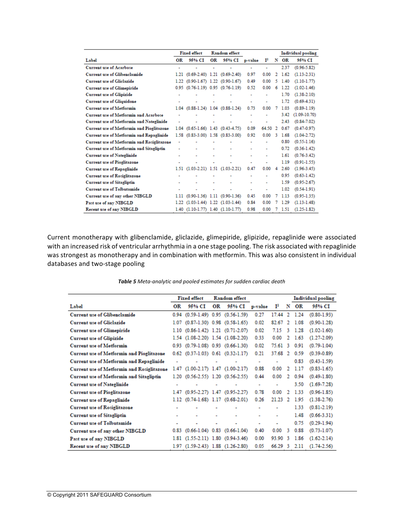|                                                   | <b>Fixed effect</b><br>Random effect |                                  |    |                                           |         |       | Individual pooling |      |                  |
|---------------------------------------------------|--------------------------------------|----------------------------------|----|-------------------------------------------|---------|-------|--------------------|------|------------------|
| Label                                             | OR                                   | 95% CI                           | OR | 95% CI                                    | p-value | r     | N                  | OR   | 95% CI           |
| <b>Current use of Acarbose</b>                    |                                      |                                  |    | ÷                                         | ÷       | ۰     |                    | 2.37 | $(0.96 - 5.82)$  |
| Current use of Glibenclamide                      | 1.21                                 |                                  |    | $(0.69 - 2.40)$ 1.21 $(0.69 - 2.40)$      | 0.97    | 0.00  | $\overline{2}$     | 1.62 | $(1.13 - 2.31)$  |
| <b>Current use of Gliclazide</b>                  | 1.22                                 |                                  |    | $(0.90-1.67)$ 1.22 $(0.90-1.67)$          | 0.49    | 0.00  | 5                  | 1.40 | $(1.10 - 1.77)$  |
| <b>Current use of Glimepiride</b>                 | 0.95                                 |                                  |    | $(0.76-1.19)$ 0.95 $(0.76-1.19)$          | 0.52    | 0.00  | 6                  | 1.22 | $(1.02 - 1.46)$  |
| <b>Current use of Glipizide</b>                   |                                      |                                  |    |                                           | ٠       | ٠     |                    | 1.70 | $(1.38 - 2.10)$  |
| <b>Current use of Gliquidone</b>                  |                                      |                                  |    | ۰                                         | ٠       | ÷     |                    | 1.72 | $(0.69 - 4.31)$  |
| <b>Current use of Metformin</b>                   | 1.04                                 | $(0.88-1.24)$                    |    | $1.04$ $(0.88-1.24)$                      | 0.73    | 0.00  | 7                  | 1.03 | $(0.89 - 1.19)$  |
| <b>Current use of Metformin and Acarbose</b>      |                                      |                                  |    |                                           | ٠       |       |                    | 3.42 | $(1.09 - 10.70)$ |
| <b>Current use of Metformin and Nateglinide</b>   |                                      |                                  |    | $\overline{\phantom{a}}$                  | ٠       | ٠     |                    | 2.43 | $(0.84 - 7.02)$  |
| <b>Current use of Metformin and Pioglitazone</b>  |                                      |                                  |    | $1.04$ $(0.65-1.66)$ $1.43$ $(0.43-4.75)$ | 0.09    | 64.50 | -2                 | 0.67 | $(0.47 - 0.97)$  |
| <b>Current use of Metformin and Repaglinide</b>   | 1.58                                 |                                  |    | $(0.83 - 3.00)$ 1.58 $(0.83 - 3.00)$      | 0.92    | 0.00  | -3                 | 1.68 | $(1.04 - 2.72)$  |
| <b>Current use of Metformin and Rosiglitazone</b> | ٠                                    |                                  |    |                                           | ٠       |       |                    | 0.80 | $(0.55 - 1.16)$  |
| <b>Current use of Metformin and Sitagliptin</b>   | ÷                                    |                                  |    | ٠                                         | ٠       | ٠     |                    | 0.72 | $(0.36 - 1.42)$  |
| <b>Current use of Nateglinide</b>                 |                                      |                                  |    | ÷                                         | ٠       | ٠     |                    | 1.61 | $(0.76 - 3.42)$  |
| <b>Current use of Pioglitazone</b>                |                                      |                                  |    |                                           | ٠       |       |                    | 1.19 | $(0.91 - 1.55)$  |
| <b>Current use of Repaglinide</b>                 | 1.51                                 |                                  |    | $(1.03-2.21)$ 1.51 $(1.03-2.21)$          | 0.47    | 0.00  | 4                  | 2.60 | $(1.96 - 3.45)$  |
| <b>Current use of Rosiglitazone</b>               | ٠                                    |                                  |    |                                           | ٠       | ٠     |                    | 0.95 | $(0.63 - 1.42)$  |
| <b>Current use of Sitagliptin</b>                 |                                      |                                  |    | ÷,                                        | ٠       |       |                    | 1.59 | $(0.95 - 2.67)$  |
| <b>Current use of Tolbutamide</b>                 |                                      |                                  |    | $\overline{\phantom{a}}$                  | ٠       | ٠     |                    | 1.02 | $(0.54 - 1.91)$  |
| Current use of any other NIBGLD                   | 1.11                                 |                                  |    | $(0.90-1.36)$ 1.11 $(0.90-1.36)$          | 0.45    | 0.00  | 7                  | 1.13 | $(0.95 - 1.35)$  |
| Past use of any NIBGLD                            | 1.22                                 |                                  |    | $(1.03-1.44)$ 1.22 $(1.03-1.44)$          | 0.84    | 0.00  | 7                  | 1.29 | $(1.13 - 1.48)$  |
| <b>Recent use of any NIBGLD</b>                   | 1.40                                 | $(1.10-1.77)$ 1.40 $(1.10-1.77)$ |    |                                           | 0.98    | 0.00  |                    | 1.51 | $(1.25 - 1.82)$  |

Current monotherapy with glibenclamide, gliclazide, glimepiride, glipizide, repaglinide were associated with an increased risk of ventricular arrhythmia in a one stage pooling. The risk associated with repaglinide was strongest as monotherapy and in combination with metformin. This was also consistent in individual databases and two-stage pooling

|                                                  | <b>Fixed effect</b> |                                           |    | <b>Random</b> effect             |         |                |    |      | Individual pooling |
|--------------------------------------------------|---------------------|-------------------------------------------|----|----------------------------------|---------|----------------|----|------|--------------------|
| Label                                            | ОR                  | 95% CI                                    | OR | 95% CI                           | p-value | $\mathbf{I}^2$ | N  | ОR   | 95% CI             |
| <b>Current use of Glibenclamide</b>              | 0.94                |                                           |    | $(0.59-1.49)$ 0.95 $(0.56-1.59)$ | 0.27    | 17.44          | 2  | 1.24 | $(0.80 - 1.93)$    |
| <b>Current use of Gliclazide</b>                 | 1.07                | $(0.87-1.30)$ 0.98 $(0.58-1.65)$          |    |                                  | 0.02    | 82.67          | 2  | 1.08 | $(0.90 - 1.28)$    |
| <b>Current use of Glimepiride</b>                |                     | 1.10 (0.86-1.42) 1.21 (0.71-2.07)         |    |                                  | 0.02    | 7.15           | 3  | 1.28 | $(1.02 - 1.60)$    |
| <b>Current use of Glipizide</b>                  |                     | 1.54 (1.08-2.20) 1.54 (1.08-2.20)         |    |                                  | 0.33    | 0.00           | 2  | 1.63 | $(1.27 - 2.09)$    |
| <b>Current use of Metformin</b>                  |                     | $0.93$ $(0.79-1.08)$ $0.93$ $(0.66-1.30)$ |    |                                  | 0.02    | 75.61 3        |    | 0.91 | $(0.79 - 1.04)$    |
| <b>Current use of Metformin and Pioglitazone</b> |                     | $0.62$ $(0.37-1.03)$ $0.61$ $(0.32-1.17)$ |    |                                  | 0.21    | 37.68 2        |    | 0.59 | $(0.39 - 0.89)$    |
| <b>Current use of Metformin and Repaglinide</b>  |                     |                                           |    |                                  | ٠       | ٠              |    | 0.83 | $(0.43 - 1.59)$    |
| Current use of Metformin and Rosiglitazone       |                     | 1.47 (1.00-2.17) 1.47 (1.00-2.17)         |    |                                  | 0.88    | 0.00           | 2  | 1.17 | $(0.83 - 1.65)$    |
| Current use of Metformin and Sitagliptin         | 1.20                | $(0.56-2.55)$ 1.20 $(0.56-2.55)$          |    |                                  | 0.44    | 0.00           | 2  | 0.94 | $(0.49 - 1.80)$    |
| <b>Current use of Nateglinide</b>                |                     |                                           |    | ٠                                | ۰       | ۰              |    | 3.50 | $(1.69 - 7.28)$    |
| <b>Current use of Pioglitazone</b>               |                     | 1.47 (0.95-2.27) 1.47 (0.95-2.27)         |    |                                  | 0.78    | 0.00           | 2  | 1.33 | $(0.96 - 1.85)$    |
| <b>Current use of Repaglinide</b>                |                     | 1.12 (0.74-1.68) 1.17 (0.68-2.01)         |    |                                  | 0.26    | 21.23          | 2  | 1.95 | $(1.38 - 2.76)$    |
| <b>Current use of Rosiglitazone</b>              | ٠                   |                                           |    |                                  | ٠       |                |    | 1.33 | $(0.81 - 2.19)$    |
| <b>Current use of Sitagliptin</b>                | ۰                   |                                           |    |                                  | ٠       | ۰              |    | 1.48 | $(0.66 - 3.31)$    |
| <b>Current use of Tolbutamide</b>                | ۰                   |                                           |    | ٠                                | ٠       | ۰              |    | 0.75 | $(0.29 - 1.94)$    |
| Current use of any other NIBGLD                  | 0.83                | $(0.66-1.04)$ 0.83 $(0.66-1.04)$          |    |                                  | 0.40    | 0.00           | 3  | 0.88 | $(0.73 - 1.07)$    |
| Past use of any NIBGLD                           | 1.81                | $(1.55-2.11)$ 1.80 $(0.94-3.46)$          |    |                                  | 0.00    | 93.90          | 3  | 1.86 | $(1.62 - 2.14)$    |
| <b>Recent use of any NIBGLD</b>                  |                     | 1.97 (1.59-2.43) 1.88 (1.26-2.80)         |    |                                  | 0.05    | 66.29          | -3 | 2.11 | $(1.74 - 2.56)$    |

**Table 5** Meta-analytic and pooled estimates for sudden cardiac death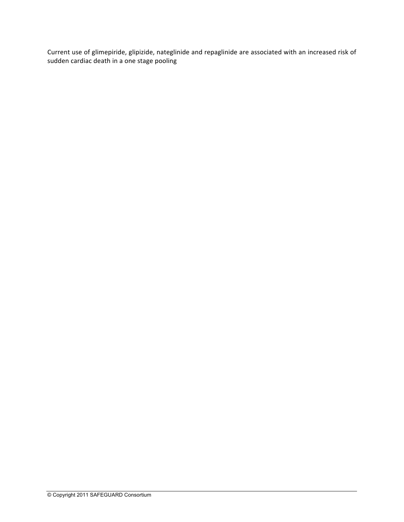Current use of glimepiride, glipizide, nateglinide and repaglinide are associated with an increased risk of sudden cardiac death in a one stage pooling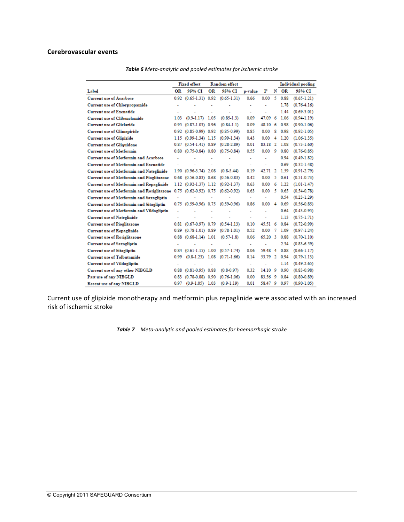#### **Cerebrovascular events**

|                                                  |                      | <b>Fixed effect</b>           |    | <b>Random</b> effect |                       |                          |    |      | Individual pooling |
|--------------------------------------------------|----------------------|-------------------------------|----|----------------------|-----------------------|--------------------------|----|------|--------------------|
| Label                                            | OR                   | 95% CT                        | ОR | 95% CI               | p-value               | $\mathbf{I}^2$           | N  | OR   | 95% CI             |
| <b>Current use of Acarbose</b>                   | 0.92                 | $(0.65-1.31)$ 0.92            |    | $(0.65 - 1.31)$      | 0.66                  | 0.00                     | 5  | 0.88 | $(0.65 - 1.21)$    |
| <b>Current use of Chlorpropamide</b>             | ۰                    |                               |    |                      | ٠                     |                          |    | 1.78 | $(0.76 - 4.16)$    |
| <b>Current use of Exenatide</b>                  |                      |                               |    |                      | ٠                     |                          |    | 1.44 | $(0.69 - 3.01)$    |
| <b>Current use of Glibenclamide</b>              | 1.03                 | $(0.9-1.17)$ 1.05             |    | $(0.85-1.3)$         | 0.09                  | 47.09                    | 6  | 1.06 | $(0.94-1.19)$      |
| <b>Current use of Gliclazide</b>                 | 0.95                 | $(0.87 - 1.03)$ 0.96          |    | $(0.84-1.1)$         | 0.09                  | 48.10                    | 6  | 0.98 | $(0.90 - 1.06)$    |
| <b>Current use of Glimepiride</b>                |                      | 0.92 (0.85-0.99) 0.92         |    | $(0.85 - 0.99)$      | 0.85                  | 0.00                     | 8  | 0.98 | $(0.92 - 1.05)$    |
| <b>Current use of Glipizide</b>                  | 1.15                 | $(0.99-1.34)$ 1.15            |    | $(0.99 - 1.34)$      | 0.43                  | 0.00                     | 4  | 1.20 | $(1.06 - 1.35)$    |
| <b>Current use of Gliquidone</b>                 |                      | 0.87 (0.54-1.41) 0.89         |    | $(0.28 - 2.89)$      | 0.01                  | 83.18 2                  |    | 1.08 | $(0.73 - 1.60)$    |
| <b>Current use of Metformin</b>                  |                      | $0.80$ $(0.75 - 0.84)$ $0.80$ |    | $(0.75 - 0.84)$      | 0.55                  | 0.00                     | 9  | 0.80 | $(0.76 - 0.85)$    |
| Current use of Metformin and Acarbose            | ÷                    |                               |    |                      | ۰                     |                          |    | 0.94 | $(0.49 - 1.82)$    |
| <b>Current use of Metformin and Exenatide</b>    |                      |                               |    |                      | ٠                     |                          |    | 0.69 | $(0.32 - 1.48)$    |
| <b>Current use of Metformin and Nateglinide</b>  | 1.90                 | $(0.96 - 3.74)$ 2.08          |    | $(0.8-5.44)$         | 0.19                  | 42.71                    | 2  | 1.59 | $(0.91 - 2.79)$    |
| <b>Current use of Metformin and Pioglitazone</b> |                      | $0.68$ $(0.56 - 0.83)$ $0.68$ |    | $(0.56 - 0.83)$      | 0.42                  | 0.00                     | 5  | 0.61 | $(0.51 - 0.73)$    |
| Current use of Metformin and Repaglinide         |                      | $1.12$ $(0.92 - 1.37)$ 1.12   |    | $(0.92 - 1.37)$      | 0.63                  | 0.00                     | 6  | 1.22 | $(1.01 - 1.47)$    |
| Current use of Metformin and Rosiglitazone       |                      | 0.75 (0.62-0.92) 0.75         |    | $(0.62 - 0.92)$      | 0.63                  | 0.00                     | -5 | 0.65 | $(0.54 - 0.78)$    |
| <b>Current use of Metformin and Saxagliptin</b>  | ä,                   |                               |    |                      | ٠                     | $\overline{\phantom{a}}$ |    | 0.54 | $(0.23 - 1.29)$    |
| <b>Current use of Metformin and Sitagliptin</b>  |                      | 0.75 (0.59-0.96) 0.75         |    | $(0.59 - 0.96)$      | 0.86                  | 0.00                     | Δ  | 0.69 | $(0.56 - 0.85)$    |
| Current use of Metformin and Vildagliptin        | ٠                    |                               |    |                      | ٠                     |                          |    | 0.64 | $(0.43 - 0.95)$    |
| <b>Current use of Nateglinide</b>                | $\ddot{\phantom{0}}$ |                               |    | ٠                    | ۰                     |                          |    | 1.13 | $(0.75 - 1.71)$    |
| <b>Current use of Pioglitazone</b>               | 0.81                 | $(0.67 - 0.97)$ 0.79          |    | $(0.54 - 1.13)$      | 0.10                  | 45.51                    | 6  | 0.84 | $(0.72 - 0.99)$    |
| <b>Current use of Repaglinide</b>                | 0.89                 | $(0.78-1.01)$ 0.89            |    | $(0.78 - 1.01)$      | 0.52                  | 0.00                     | -7 | 1.09 | $(0.97-1.24)$      |
| <b>Current use of Rosiglitazone</b>              |                      | $0.88$ $(0.68-1.14)$ 1.01     |    | $(0.57-1.8)$         | 0.06                  | 65.20                    | -3 | 0.88 | $(0.70 - 1.10)$    |
| <b>Current use of Saxagliptin</b>                | ٠                    |                               | ٠  | ۰                    | $\tilde{\phantom{a}}$ | ÷                        |    | 2.34 | $(0.83 - 6.59)$    |
| <b>Current use of Sitagliptin</b>                |                      | $0.84$ $(0.61-1.15)$ 1.00     |    | $(0.57 - 1.74)$      | 0.06                  | 59.48                    | 4  | 0.88 | $(0.66 - 1.17)$    |
| <b>Current use of Tolbutamide</b>                | 0.99                 | $(0.8-1.23)$ 1.08             |    | $(0.71 - 1.66)$      | 0.14                  | 53.79 2                  |    | 0.94 | $(0.79 - 1.13)$    |
| <b>Current use of Vildagliptin</b>               | ٠                    |                               | ٠  |                      | ٠                     | ٠                        |    | 1.14 | $(0.49 - 2.65)$    |
| Current use of any other NIBGLD                  | 0.88                 | $(0.81 - 0.95)$ 0.88          |    | $(0.8 - 0.97)$       | 0.32                  | $14.10$ 9                |    | 0.90 | $(0.83 - 0.98)$    |
| Past use of any NIBGLD                           | 0.83                 | $(0.78 - 0.88)$ 0.90          |    | $(0.76 - 1.06)$      | 0.00                  | 83.56 9                  |    | 0.84 | $(0.80 - 0.89)$    |
| <b>Recent use of any NIBGLD</b>                  | 0.97                 | $(0.9-1.05)$ 1.03             |    | $(0.9-1.19)$         | 0.01                  | 58.47 9                  |    | 0.97 | $(0.90 - 1.05)$    |

**Table 6** Meta-analytic and pooled estimates for ischemic stroke

Current use of glipizide monotherapy and metformin plus repaglinide were associated with an increased risk of ischemic stroke

**Table 7** Meta-analytic and pooled estimates for haemorrhagic stroke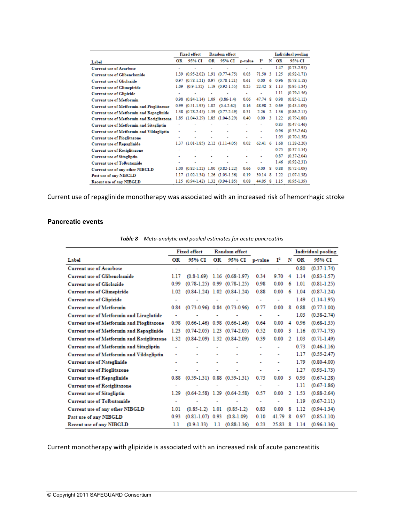|                                                  |      | <b>Fixed effect</b>                       |    | <b>Random</b> effect             |                          |                |                |      | Individual pooling |
|--------------------------------------------------|------|-------------------------------------------|----|----------------------------------|--------------------------|----------------|----------------|------|--------------------|
| Label                                            | OR   | 95% CI                                    | ОR | 95% CI                           | p-value                  | $\mathbf{I}^2$ | N              | ОR   | 95% CI             |
| <b>Current use of Acarbose</b>                   |      |                                           |    |                                  | $\overline{\phantom{a}}$ | ٠              |                | 1.47 | $(0.73 - 2.95)$    |
| <b>Current use of Glibenclamide</b>              |      | 1.39 (0.95-2.02) 1.91 (0.77-4.75)         |    |                                  | 0.03                     | 71.50          | 3              | 1.25 | $(0.92 - 1.71)$    |
| <b>Current use of Gliclazide</b>                 | 0.97 |                                           |    | $(0.78-1.21)$ 0.97 $(0.78-1.21)$ | 0.61                     | 0.00           | 6              | 0.96 | $(0.78 - 1.18)$    |
| <b>Current use of Glimepiride</b>                | 1.09 |                                           |    | $(0.9-1.32)$ 1.19 $(0.92-1.55)$  | 0.25                     | 22.42          | 8              | 1.13 | $(0.95 - 1.34)$    |
| <b>Current use of Glipizide</b>                  |      |                                           |    | ٠                                | ٠                        |                |                | 1.11 | $(0.79 - 1.56)$    |
| <b>Current use of Metformin</b>                  |      | $0.98$ $(0.84-1.14)$ 1.09                 |    | $(0.86-1.4)$                     | 0.06                     | 47.74 8        |                | 0.98 | $(0.85 - 1.12)$    |
| <b>Current use of Metformin and Pioglitazone</b> | 0.99 | $(0.51 - 1.93)$ 1.02                      |    | $(0.4 - 2.62)$                   | 0.16                     | 48.98          | $\mathfrak{D}$ | 0.69 | $(0.43 - 1.09)$    |
| <b>Current use of Metformin and Repaglinide</b>  |      | 1.38 (0.78-2.45) 1.39 (0.77-2.49)         |    |                                  | 0.31                     | 2.26           | 2              | 1.36 | $(0.86 - 2.15)$    |
| Current use of Metformin and Rosiglitazone       |      | 1.85 (1.04-3.29) 1.85 (1.04-3.29)         |    |                                  | 0.40                     | 0.00           | З              | 1.22 | $(0.79 - 1.88)$    |
| <b>Current use of Metformin and Sitagliptin</b>  |      |                                           |    |                                  | ٠                        | ٠              |                | 0.83 | $(0.47-1.46)$      |
| <b>Current use of Metformin and Vildagliptin</b> | ٠    | ۰                                         | ÷  | ٠                                | ٠                        | ٠              |                | 0.96 | $(0.35 - 2.64)$    |
| <b>Current use of Pioglitazone</b>               |      |                                           |    | ÷                                | ٠                        |                |                | 1.05 | $(0.70 - 1.58)$    |
| <b>Current use of Repaglinide</b>                |      | $1.37$ $(1.01-1.85)$ $2.12$ $(1.11-4.05)$ |    |                                  | 0.02                     | $62.41\quad 6$ |                | 1.68 | $(1.28 - 2.20)$    |
| <b>Current use of Rosiglitazone</b>              |      |                                           |    |                                  | ٠                        | ٠              |                | 0.75 | $(0.37 - 1.54)$    |
| <b>Current use of Sitagliptin</b>                |      |                                           |    | ä,                               |                          | ٠              |                | 0.87 | $(0.37 - 2.04)$    |
| Current use of Tolbutamide                       |      |                                           |    | ٠                                | ۰                        | ٠              |                | 1.46 | $(0.92 - 2.31)$    |
| Current use of any other NIBGLD                  | 1.00 | $(0.82 - 1.22)$ 1.00 $(0.82 - 1.22)$      |    |                                  | 0.66                     | 0.00           | 8              | 0.88 | $(0.72 - 1.09)$    |
| Past use of any NIBGLD                           | 1.17 |                                           |    | $(1.02-1.34)$ 1.26 $(1.03-1.56)$ | 0.19                     | 30.14          | 8              | 1.22 | $(1.07-1.38)$      |
| Recent use of any NIBGLD                         |      | 1.15 (0.94-1.42) 1.32 (0.94-1.85)         |    |                                  | 0.08                     | 44.05          | 8              | 1.15 | $(0.95 - 1.39)$    |

Current use of repaglinide monotherapy was associated with an increased risk of hemorrhagic stroke

#### **Pancreatic events**

|                                                  | <b>Fixed effect</b><br><b>Random</b> effect |                          |                      |                                      |                          |                | Individual pooling |      |                 |
|--------------------------------------------------|---------------------------------------------|--------------------------|----------------------|--------------------------------------|--------------------------|----------------|--------------------|------|-----------------|
| Label                                            | OR                                          | 95% CI                   | OR                   | 95% CI                               | p-value                  | $\mathbf{I}^2$ | N                  | OR   | 95% CI          |
| <b>Current use of Acarbose</b>                   | ٠                                           | $\overline{\phantom{0}}$ | $\ddot{\phantom{0}}$ | ÷,                                   | ٠                        | ٠              |                    | 0.80 | $(0.37 - 1.74)$ |
| Current use of Glibenclamide                     | 1.17                                        | $(0.8-1.69)$             | 1.16                 | $(0.68 - 1.97)$                      | 0.34                     | 9.70           | 4                  | 1.14 | $(0.83 - 1.57)$ |
| <b>Current use of Gliclazide</b>                 | 0.99                                        |                          |                      | $(0.78-1.25)$ 0.99 $(0.78-1.25)$     | 0.98                     | 0.00           | 6                  | 1.01 | $(0.81 - 1.25)$ |
| <b>Current use of Glimepiride</b>                | 1.02                                        |                          |                      | $(0.84-1.24)$ 1.02 $(0.84-1.24)$     | 0.88                     | 0.00           | 6                  | 1.04 | $(0.87 - 1.24)$ |
| <b>Current use of Glipizide</b>                  | ٠                                           |                          |                      | ٠                                    | $\overline{\phantom{a}}$ | ٠              |                    | 1.49 | $(1.14-1.95)$   |
| <b>Current use of Metformin</b>                  | 0.84                                        |                          |                      | $(0.73 - 0.96)$ 0.84 $(0.73 - 0.96)$ | 0.77                     | 0.00           | 8                  | 0.88 | $(0.77 - 1.00)$ |
| <b>Current use of Metformin and Liraglutide</b>  | ٠                                           |                          |                      |                                      | $\overline{\phantom{a}}$ | ٠              |                    | 1.03 | $(0.38 - 2.74)$ |
| <b>Current use of Metformin and Pioglitazone</b> | 0.98                                        |                          |                      | $(0.66-1.46)$ 0.98 $(0.66-1.46)$     | 0.64                     | 0.00           | 4                  | 0.96 | $(0.68 - 1.35)$ |
| <b>Current use of Metformin and Repaglinide</b>  | 1.23                                        |                          |                      | $(0.74 - 2.05)$ 1.23 $(0.74 - 2.05)$ | 0.52                     | 0.00           | 3                  | 1.16 | $(0.77 - 1.73)$ |
| Current use of Metformin and Rosiglitazone       | 1.32                                        |                          |                      | $(0.84-2.09)$ 1.32 $(0.84-2.09)$     | 0.39                     | 0.00           | 2                  | 1.03 | $(0.71 - 1.49)$ |
| <b>Current use of Metformin and Sitagliptin</b>  |                                             |                          |                      |                                      |                          | ٠              |                    | 0.73 | $(0.46 - 1.16)$ |
| <b>Current use of Metformin and Vildagliptin</b> | ۰                                           |                          | ۰                    | ۰                                    | ۰                        | ۰              |                    | 1.17 | $(0.55 - 2.47)$ |
| <b>Current use of Nateglinide</b>                | ٠                                           |                          | ۰                    | ٠                                    | ۰                        | ٠              |                    | 1.79 | $(0.80 - 4.00)$ |
| <b>Current use of Pioglitazone</b>               | ٠                                           | ۰                        | ۰                    | ÷                                    | ۰                        | ۰              |                    | 1.27 | $(0.93 - 1.73)$ |
| <b>Current use of Repaglinide</b>                | 0.88                                        |                          |                      | $(0.59-1.31)$ 0.88 $(0.59-1.31)$     | 0.73                     | 0.00           | 3                  | 0.93 | $(0.67 - 1.28)$ |
| <b>Current use of Rosiglitazone</b>              | ٠                                           |                          |                      |                                      | ٠                        | ۰              |                    | 1.11 | $(0.67 - 1.86)$ |
| <b>Current use of Sitagliptin</b>                | 1.29                                        |                          |                      | $(0.64 - 2.58)$ 1.29 $(0.64 - 2.58)$ | 0.57                     | 0.00           | $\mathbf{2}$       | 1.53 | $(0.88 - 2.64)$ |
| <b>Current use of Tolbutamide</b>                | ٠                                           |                          |                      | ٠                                    | $\blacksquare$           | ٠              |                    | 1.19 | $(0.67 - 2.11)$ |
| Current use of any other NIBGLD                  | 1.01                                        | $(0.85-1.2)$ 1.01        |                      | $(0.85 - 1.2)$                       | 0.83                     | 0.00           | 8                  | 1.12 | $(0.94 - 1.34)$ |
| Past use of any NIBGLD                           | 0.93                                        | $(0.81 - 1.07)$ 0.93     |                      | $(0.8-1.09)$                         | 0.10                     | 41.79          | 8                  | 0.97 | $(0.85 - 1.10)$ |
| Recent use of any NIBGLD                         | 1.1                                         | $(0.9 - 1.33)$           | 1.1                  | $(0.88 - 1.36)$                      | 0.23                     | 25.83          | 8                  | 1.14 | $(0.96 - 1.36)$ |

**Table 8** Meta-analytic and pooled estimates for acute pancreatitis

Current monotherapy with glipizide is associated with an increased risk of acute pancreatitis